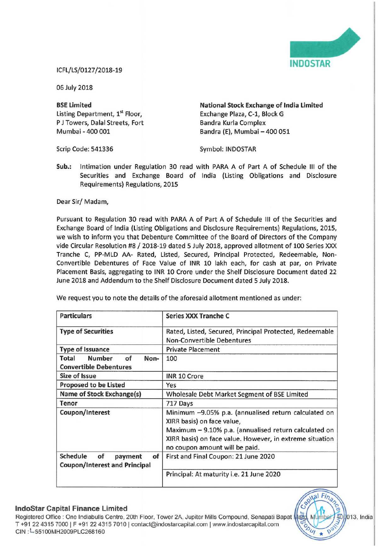

## ICFL/LS/0127/2018-19

06 July 2018

Listing Department, 1<sup>st</sup> Floor, Exchange Plaza, C-1, Block G P J Towers, Dalal Streets, Fort Bandra Kurla Complex<br>
Mumbai - 400 001 Bandra (E). Mumbai -

BSE Limited **National Stock Exchange of India Limited** Bandra (E), Mumbai - 400 051

Scrip Code: 541336 Symbol: INDOSTAR

Sub.: Intimation under Regulation 30 read with PARA <sup>A</sup> of Part A of Schedule III of the Securities and Exchange Board of India (Listing Obligations and Disclosure Requirements) Regulations, 2015

Dear Sir/ Madam,

Pursuant to Regulation 30 read with PARA <sup>A</sup> of Part A of Schedule III of the Securities and Exchange Board of India (Listing Obligations and Disclosure Requirements) Regulations, 2015, we wish to inform you that Debenture Committee of the Board of Directors of the Company vide Circular Resolution #8 / 2018-19 dated <sup>5</sup> July 2018, approved allotment of <sup>100</sup> Series XXX Tranche C, PP-MLD AA- Rated, Listed, Secured, Principal Protected, Redeemable, Non-Convertible Debentures of Face Value of INR <sup>10</sup> lakh each, for cash at par, on Private Placement Basis, aggregating to INR 10 Crore under the Shelf Disclosure Document dated 22 June 2018 and Addendum to the Shelf Disclosure Document dated 5 July 2018.

| <b>Particulars</b>                                                      | <b>Series XXX Tranche C</b>                                                                                                                 |
|-------------------------------------------------------------------------|---------------------------------------------------------------------------------------------------------------------------------------------|
| <b>Type of Securities</b>                                               | Rated, Listed, Secured, Principal Protected, Redeemable<br><b>Non-Convertible Debentures</b>                                                |
| <b>Type of Issuance</b>                                                 | <b>Private Placement</b>                                                                                                                    |
| <b>Number</b><br>of<br>Non-<br>Total<br><b>Convertible Debentures</b>   | 100                                                                                                                                         |
| Size of Issue                                                           | INR 10 Crore                                                                                                                                |
| <b>Proposed to be Listed</b>                                            | Yes                                                                                                                                         |
| Name of Stock Exchange(s)                                               | Wholesale Debt Market Segment of BSE Limited                                                                                                |
| Tenor                                                                   | 717 Days                                                                                                                                    |
| Coupon/Interest                                                         | Minimum -9.05% p.a. (annualised return calculated on<br>XIRR basis) on face value,<br>Maximum - 9.10% p.a. (annualised return calculated on |
|                                                                         | XIRR basis) on face value. However, in extreme situation<br>no coupon amount will be paid.                                                  |
| Schedule<br>of<br>of<br>payment<br><b>Coupon/Interest and Principal</b> | First and Final Coupon: 21 June 2020                                                                                                        |
|                                                                         | Principal: At maturity i.e. 21 June 2020                                                                                                    |

We request you to note the details of the aforesaid allotment mentioned as under:

## lndoStar Capital Finance Limited

Registered Office : One Indiabulls Centre, 20th Floor, Tower 2A, Jupiter Mills Compound, Senapati Bapat Mat T +91 22 4315 7000 | F +91 22 4315 7010 | contact@indostarcapital.com | www.indostarcapital.com CIN: - \$5100MH2009PLC268160